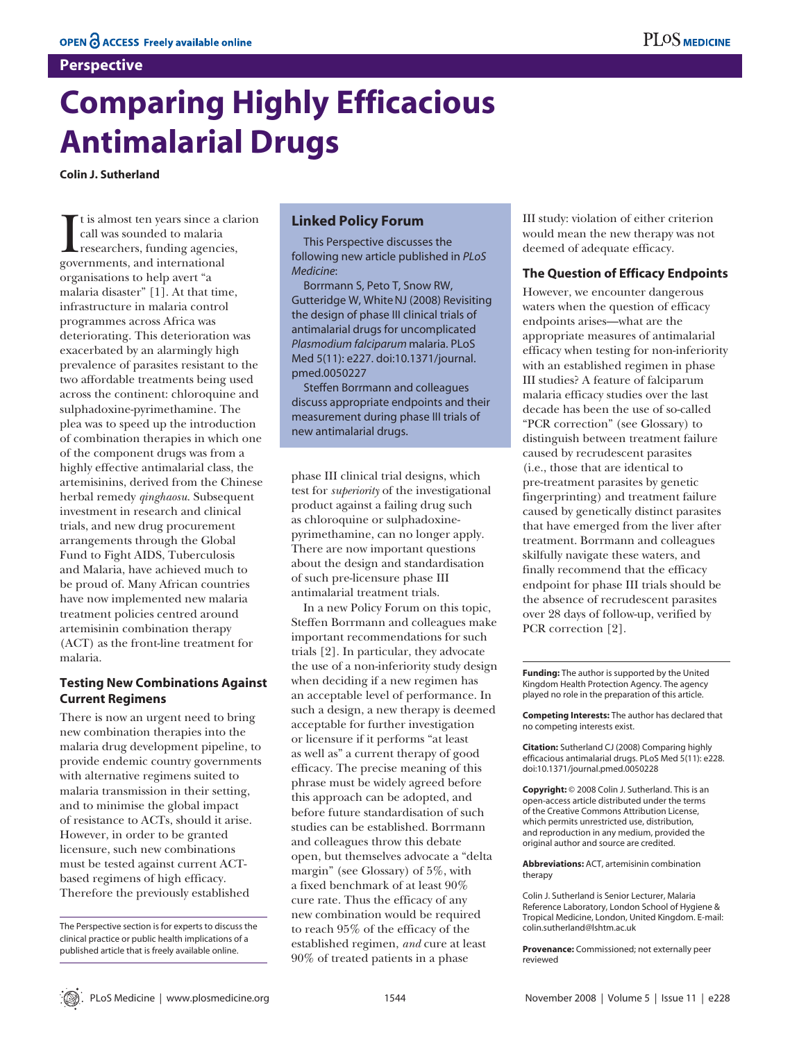### **Perspective**

# **Comparing Highly Efficacious Antimalarial Drugs**

**Colin J. Sutherland**

I tis almost ten years since a c<br>call was sounded to malaria<br>researchers, funding agencies<br>governments, and international t is almost ten years since a clarion call was sounded to malaria researchers, funding agencies, organisations to help avert "a malaria disaster" [1]. At that time, infrastructure in malaria control programmes across Africa was deteriorating. This deterioration was exacerbated by an alarmingly high prevalence of parasites resistant to the two affordable treatments being used across the continent: chloroquine and sulphadoxine-pyrimethamine. The plea was to speed up the introduction of combination therapies in which one of the component drugs was from a highly effective antimalarial class, the artemisinins, derived from the Chinese herbal remedy *qinghaosu*. Subsequent investment in research and clinical trials, and new drug procurement arrangements through the Global Fund to Fight AIDS, Tuberculosis and Malaria, have achieved much to be proud of. Many African countries have now implemented new malaria treatment policies centred around artemisinin combination therapy (ACT) as the front-line treatment for malaria.

## **Testing New Combinations Against Current Regimens**

There is now an urgent need to bring new combination therapies into the malaria drug development pipeline, to provide endemic country governments with alternative regimens suited to malaria transmission in their setting, and to minimise the global impact of resistance to ACTs, should it arise. However, in order to be granted licensure, such new combinations must be tested against current ACTbased regimens of high efficacy. Therefore the previously established

## **Linked Policy Forum**

This Perspective discusses the following new article published in *PLoS Medicine*:

Borrmann S, Peto T, Snow RW, Gutteridge W, WhiteNJ (2008) Revisiting the design of phase III clinical trials of antimalarial drugs for uncomplicated *Plasmodium falciparum* malaria. PLoS Med 5(11): e227. doi:10.1371/journal. pmed.0050227

Steffen Borrmann and colleagues discuss appropriate endpoints and their measurement during phase III trials of new antimalarial drugs.

phase III clinical trial designs, which test for *superiority* of the investigational product against a failing drug such as chloroquine or sulphadoxinepyrimethamine, can no longer apply. There are now important questions about the design and standardisation of such pre-licensure phase III antimalarial treatment trials.

In a new Policy Forum on this topic, Steffen Borrmann and colleagues make important recommendations for such trials [2]. In particular, they advocate the use of a non-inferiority study design when deciding if a new regimen has an acceptable level of performance. In such a design, a new therapy is deemed acceptable for further investigation or licensure if it performs "at least as well as" a current therapy of good efficacy. The precise meaning of this phrase must be widely agreed before this approach can be adopted, and before future standardisation of such studies can be established. Borrmann and colleagues throw this debate open, but themselves advocate a "delta margin" (see Glossary) of 5%, with a fixed benchmark of at least 90% cure rate. Thus the efficacy of any new combination would be required to reach 95% of the efficacy of the established regimen, *and* cure at least 90% of treated patients in a phase

III study: violation of either criterion would mean the new therapy was not deemed of adequate efficacy.

#### **The Question of Efficacy Endpoints**

However, we encounter dangerous waters when the question of efficacy endpoints arises—what are the appropriate measures of antimalarial efficacy when testing for non-inferiority with an established regimen in phase III studies? A feature of falciparum malaria efficacy studies over the last decade has been the use of so-called "PCR correction" (see Glossary) to distinguish between treatment failure caused by recrudescent parasites (i.e., those that are identical to pre-treatment parasites by genetic fingerprinting) and treatment failure caused by genetically distinct parasites that have emerged from the liver after treatment. Borrmann and colleagues skilfully navigate these waters, and finally recommend that the efficacy endpoint for phase III trials should be the absence of recrudescent parasites over 28 days of follow-up, verified by PCR correction [2].

**Funding:** The author is supported by the United Kingdom Health Protection Agency. The agency played no role in the preparation of this article.

**Competing Interests:** The author has declared that no competing interests exist.

**Citation:** Sutherland CJ (2008) Comparing highly efficacious antimalarial drugs. PLoS Med 5(11): e228. doi:10.1371/journal.pmed.0050228

**Copyright:** © 2008 Colin J. Sutherland. This is an open-access article distributed under the terms of the Creative Commons Attribution License, which permits unrestricted use, distribution, and reproduction in any medium, provided the original author and source are credited.

**Abbreviations:** ACT, artemisinin combination therapy

Colin J. Sutherland is Senior Lecturer, Malaria Reference Laboratory, London School of Hygiene & Tropical Medicine, London, United Kingdom. E-mail: colin.sutherland@lshtm.ac.uk

**Provenance:** Commissioned; not externally peer reviewed

The Perspective section is for experts to discuss the clinical practice or public health implications of a published article that is freely available online.